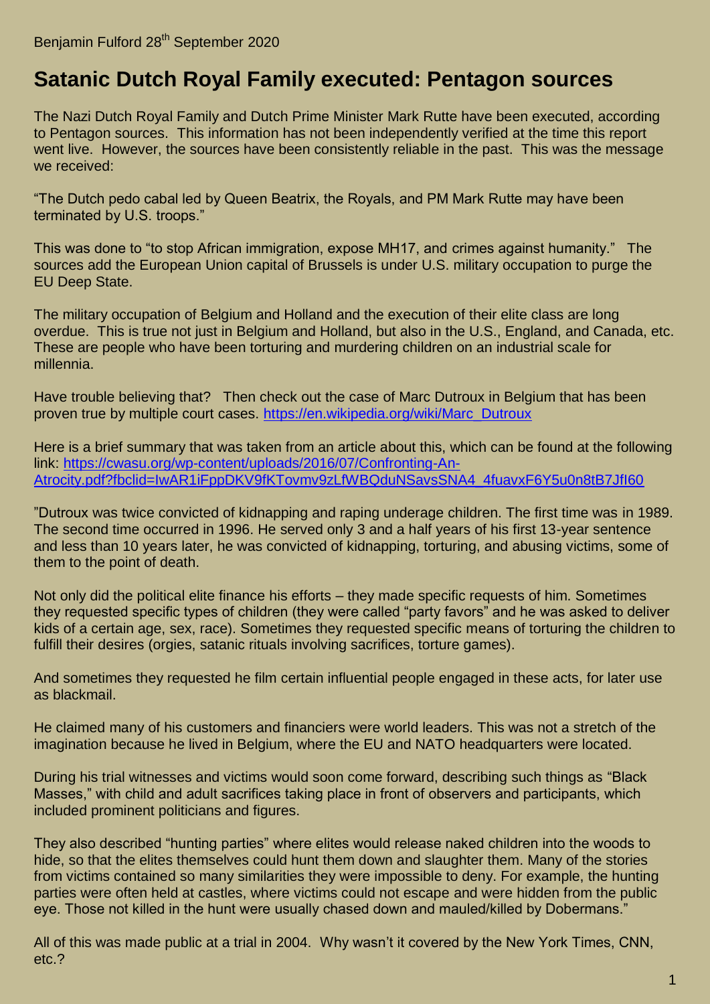## **[Satanic Dutch Royal Family executed: Pentagon sources](https://benjaminfulford.net/2020/09/28/satanic-dutch-royal-family-executed-pentagon-sources/)**

The Nazi Dutch Royal Family and Dutch Prime Minister Mark Rutte have been executed, according to Pentagon sources. This information has not been independently verified at the time this report went live. However, the sources have been consistently reliable in the past. This was the message we received:

"The Dutch pedo cabal led by Queen Beatrix, the Royals, and PM Mark Rutte may have been terminated by U.S. troops."

This was done to "to stop African immigration, expose MH17, and crimes against humanity." The sources add the European Union capital of Brussels is under U.S. military occupation to purge the EU Deep State.

The military occupation of Belgium and Holland and the execution of their elite class are long overdue. This is true not just in Belgium and Holland, but also in the U.S., England, and Canada, etc. These are people who have been torturing and murdering children on an industrial scale for millennia.

Have trouble believing that? Then check out the case of Marc Dutroux in Belgium that has been proven true by multiple court cases. [https://en.wikipedia.org/wiki/Marc\\_Dutroux](https://en.wikipedia.org/wiki/Marc_Dutroux)

Here is a brief summary that was taken from an article about this, which can be found at the following link: [https://cwasu.org/wp-content/uploads/2016/07/Confronting-An-](https://cwasu.org/wp-content/uploads/2016/07/Confronting-An-Atrocity.pdf?fbclid=IwAR1iFppDKV9fKTovmv9zLfWBQduNSavsSNA4_4fuavxF6Y5u0n8tB7JfI60)[Atrocity.pdf?fbclid=IwAR1iFppDKV9fKTovmv9zLfWBQduNSavsSNA4\\_4fuavxF6Y5u0n8tB7JfI60](https://cwasu.org/wp-content/uploads/2016/07/Confronting-An-Atrocity.pdf?fbclid=IwAR1iFppDKV9fKTovmv9zLfWBQduNSavsSNA4_4fuavxF6Y5u0n8tB7JfI60)

"Dutroux was twice convicted of kidnapping and raping underage children. The first time was in 1989. The second time occurred in 1996. He served only 3 and a half years of his first 13-year sentence and less than 10 years later, he was convicted of kidnapping, torturing, and abusing victims, some of them to the point of death.

Not only did the political elite finance his efforts – they made specific requests of him. Sometimes they requested specific types of children (they were called "party favors" and he was asked to deliver kids of a certain age, sex, race). Sometimes they requested specific means of torturing the children to fulfill their desires (orgies, satanic rituals involving sacrifices, torture games).

And sometimes they requested he film certain influential people engaged in these acts, for later use as blackmail.

He claimed many of his customers and financiers were world leaders. This was not a stretch of the imagination because he lived in Belgium, where the EU and NATO headquarters were located.

During his trial witnesses and victims would soon come forward, describing such things as "Black Masses," with child and adult sacrifices taking place in front of observers and participants, which included prominent politicians and figures.

They also described "hunting parties" where elites would release naked children into the woods to hide, so that the elites themselves could hunt them down and slaughter them. Many of the stories from victims contained so many similarities they were impossible to deny. For example, the hunting parties were often held at castles, where victims could not escape and were hidden from the public eye. Those not killed in the hunt were usually chased down and mauled/killed by Dobermans."

All of this was made public at a trial in 2004. Why wasn't it covered by the New York Times, CNN, etc.?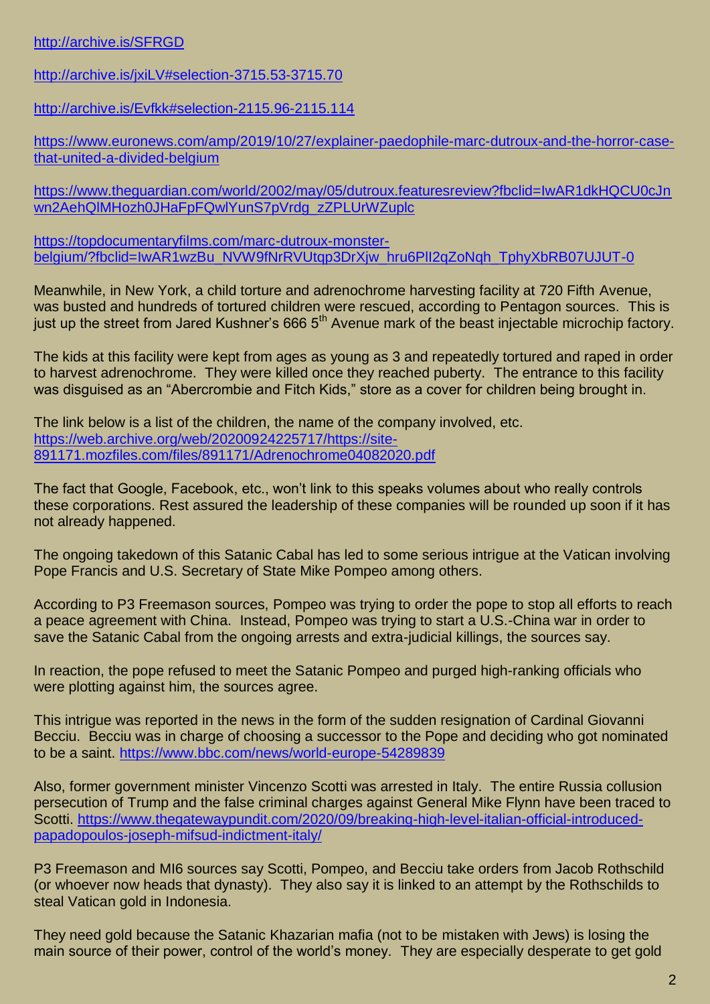## [http://archive.is/SFRGD](https://archive.fo/SFRGD)

[http://archive.is/jxiLV#selection-3715.53-3715.70](https://archive.fo/jxiLV#selection-3715.53-3715.70)

[http://archive.is/Evfkk#selection-2115.96-2115.114](https://archive.fo/Evfkk#selection-2115.96-2115.114)

[https://www.euronews.com/amp/2019/10/27/explainer-paedophile-marc-dutroux-and-the-horror-case](https://www.euronews.com/amp/2019/10/27/explainer-paedophile-marc-dutroux-and-the-horror-case-that-united-a-divided-belgium)[that-united-a-divided-belgium](https://www.euronews.com/amp/2019/10/27/explainer-paedophile-marc-dutroux-and-the-horror-case-that-united-a-divided-belgium)

[https://www.theguardian.com/world/2002/may/05/dutroux.featuresreview?fbclid=IwAR1dkHQCU0cJn](https://www.theguardian.com/world/2002/may/05/dutroux.featuresreview?fbclid=IwAR1dkHQCU0cJnwn2AehQlMHozh0JHaFpFQwlYunS7pVrdg_zZPLUrWZuplc) [wn2AehQlMHozh0JHaFpFQwlYunS7pVrdg\\_zZPLUrWZuplc](https://www.theguardian.com/world/2002/may/05/dutroux.featuresreview?fbclid=IwAR1dkHQCU0cJnwn2AehQlMHozh0JHaFpFQwlYunS7pVrdg_zZPLUrWZuplc)

[https://topdocumentaryfilms.com/marc-dutroux-monster](https://topdocumentaryfilms.com/marc-dutroux-monster-belgium/?fbclid=IwAR1wzBu_NVW9fNrRVUtqp3DrXjw_hru6PlI2qZoNqh_TphyXbRB07UJUT-0)[belgium/?fbclid=IwAR1wzBu\\_NVW9fNrRVUtqp3DrXjw\\_hru6PlI2qZoNqh\\_TphyXbRB07UJUT-0](https://topdocumentaryfilms.com/marc-dutroux-monster-belgium/?fbclid=IwAR1wzBu_NVW9fNrRVUtqp3DrXjw_hru6PlI2qZoNqh_TphyXbRB07UJUT-0)

Meanwhile, in New York, a child torture and adrenochrome harvesting facility at 720 Fifth Avenue, was busted and hundreds of tortured children were rescued, according to Pentagon sources. This is just up the street from Jared Kushner's 666 5<sup>th</sup> Avenue mark of the beast injectable microchip factory.

The kids at this facility were kept from ages as young as 3 and repeatedly tortured and raped in order to harvest adrenochrome. They were killed once they reached puberty. The entrance to this facility was disguised as an "Abercrombie and Fitch Kids," store as a cover for children being brought in.

The link below is a list of the children, the name of the company involved, etc. [https://web.archive.org/web/20200924225717/https://site-](https://web.archive.org/web/20200924225717/https:/site-891171.mozfiles.com/files/891171/Adrenochrome04082020.pdf)[891171.mozfiles.com/files/891171/Adrenochrome04082020.pdf](https://web.archive.org/web/20200924225717/https:/site-891171.mozfiles.com/files/891171/Adrenochrome04082020.pdf)

The fact that Google, Facebook, etc., won't link to this speaks volumes about who really controls these corporations. Rest assured the leadership of these companies will be rounded up soon if it has not already happened.

The ongoing takedown of this Satanic Cabal has led to some serious intrigue at the Vatican involving Pope Francis and U.S. Secretary of State Mike Pompeo among others.

According to P3 Freemason sources, Pompeo was trying to order the pope to stop all efforts to reach a peace agreement with China. Instead, Pompeo was trying to start a U.S.-China war in order to save the Satanic Cabal from the ongoing arrests and extra-judicial killings, the sources say.

In reaction, the pope refused to meet the Satanic Pompeo and purged high-ranking officials who were plotting against him, the sources agree.

This intrigue was reported in the news in the form of the sudden resignation of Cardinal Giovanni Becciu. Becciu was in charge of choosing a successor to the Pope and deciding who got nominated to be a saint.<https://www.bbc.com/news/world-europe-54289839>

Also, former government minister Vincenzo Scotti was arrested in Italy. The entire Russia collusion persecution of Trump and the false criminal charges against General Mike Flynn have been traced to Scotti. [https://www.thegatewaypundit.com/2020/09/breaking-high-level-italian-official-introduced](https://www.thegatewaypundit.com/2020/09/breaking-high-level-italian-official-introduced-papadopoulos-joseph-mifsud-indictment-italy/)[papadopoulos-joseph-mifsud-indictment-italy/](https://www.thegatewaypundit.com/2020/09/breaking-high-level-italian-official-introduced-papadopoulos-joseph-mifsud-indictment-italy/)

P3 Freemason and MI6 sources say Scotti, Pompeo, and Becciu take orders from Jacob Rothschild (or whoever now heads that dynasty). They also say it is linked to an attempt by the Rothschilds to steal Vatican gold in Indonesia.

They need gold because the Satanic Khazarian mafia (not to be mistaken with Jews) is losing the main source of their power, control of the world's money. They are especially desperate to get gold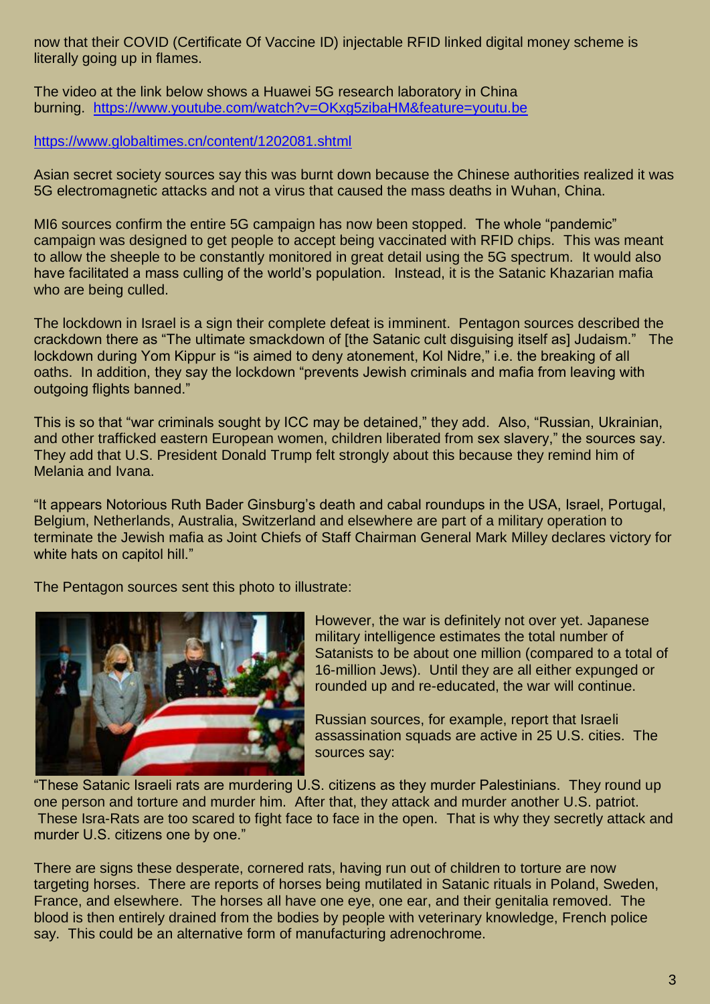now that their COVID (Certificate Of Vaccine ID) injectable RFID linked digital money scheme is literally going up in flames.

The video at the link below shows a Huawei 5G research laboratory in China burning. <https://www.youtube.com/watch?v=OKxg5zibaHM&feature=youtu.be>

<https://www.globaltimes.cn/content/1202081.shtml>

Asian secret society sources say this was burnt down because the Chinese authorities realized it was 5G electromagnetic attacks and not a virus that caused the mass deaths in Wuhan, China.

MI6 sources confirm the entire 5G campaign has now been stopped. The whole "pandemic" campaign was designed to get people to accept being vaccinated with RFID chips. This was meant to allow the sheeple to be constantly monitored in great detail using the 5G spectrum. It would also have facilitated a mass culling of the world's population. Instead, it is the Satanic Khazarian mafia who are being culled.

The lockdown in Israel is a sign their complete defeat is imminent. Pentagon sources described the crackdown there as "The ultimate smackdown of [the Satanic cult disguising itself as] Judaism." The lockdown during Yom Kippur is "is aimed to deny atonement, Kol Nidre," i.e. the breaking of all oaths. In addition, they say the lockdown "prevents Jewish criminals and mafia from leaving with outgoing flights banned."

This is so that "war criminals sought by ICC may be detained," they add. Also, "Russian, Ukrainian, and other trafficked eastern European women, children liberated from sex slavery," the sources say. They add that U.S. President Donald Trump felt strongly about this because they remind him of Melania and Ivana.

"It appears Notorious Ruth Bader Ginsburg's death and cabal roundups in the USA, Israel, Portugal, Belgium, Netherlands, Australia, Switzerland and elsewhere are part of a military operation to terminate the Jewish mafia as Joint Chiefs of Staff Chairman General Mark Milley declares victory for white hats on capitol hill."

The Pentagon sources sent this photo to illustrate:



However, the war is definitely not over yet. Japanese military intelligence estimates the total number of Satanists to be about one million (compared to a total of 16-million Jews). Until they are all either expunged or rounded up and re-educated, the war will continue.

Russian sources, for example, report that Israeli assassination squads are active in 25 U.S. cities. The sources say:

"These Satanic Israeli rats are murdering U.S. citizens as they murder Palestinians. They round up one person and torture and murder him. After that, they attack and murder another U.S. patriot. These Isra-Rats are too scared to fight face to face in the open. That is why they secretly attack and murder U.S. citizens one by one."

There are signs these desperate, cornered rats, having run out of children to torture are now targeting horses. There are reports of horses being mutilated in Satanic rituals in Poland, Sweden, France, and elsewhere. The horses all have one eye, one ear, and their genitalia removed. The blood is then entirely drained from the bodies by people with veterinary knowledge, French police say. This could be an alternative form of manufacturing adrenochrome.